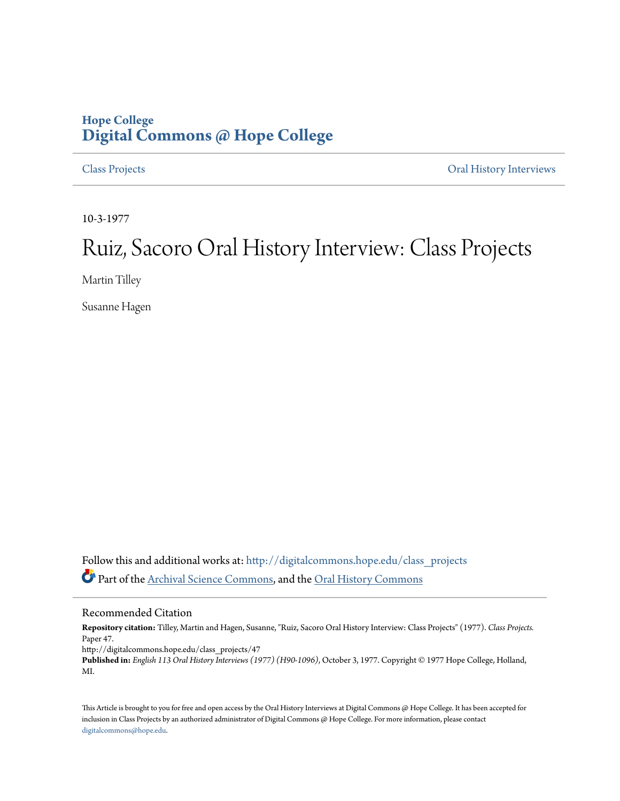### **Hope College [Digital Commons @ Hope College](http://digitalcommons.hope.edu?utm_source=digitalcommons.hope.edu%2Fclass_projects%2F47&utm_medium=PDF&utm_campaign=PDFCoverPages)**

[Class Projects](http://digitalcommons.hope.edu/class_projects?utm_source=digitalcommons.hope.edu%2Fclass_projects%2F47&utm_medium=PDF&utm_campaign=PDFCoverPages) [Oral History Interviews](http://digitalcommons.hope.edu/oral_histories?utm_source=digitalcommons.hope.edu%2Fclass_projects%2F47&utm_medium=PDF&utm_campaign=PDFCoverPages)

10-3-1977

# Ruiz, Sacoro Oral History Interview: Class Projects

Martin Tilley

Susanne Hagen

Follow this and additional works at: [http://digitalcommons.hope.edu/class\\_projects](http://digitalcommons.hope.edu/class_projects?utm_source=digitalcommons.hope.edu%2Fclass_projects%2F47&utm_medium=PDF&utm_campaign=PDFCoverPages) Part of the [Archival Science Commons,](http://network.bepress.com/hgg/discipline/1021?utm_source=digitalcommons.hope.edu%2Fclass_projects%2F47&utm_medium=PDF&utm_campaign=PDFCoverPages) and the [Oral History Commons](http://network.bepress.com/hgg/discipline/1195?utm_source=digitalcommons.hope.edu%2Fclass_projects%2F47&utm_medium=PDF&utm_campaign=PDFCoverPages)

#### Recommended Citation

**Repository citation:** Tilley, Martin and Hagen, Susanne, "Ruiz, Sacoro Oral History Interview: Class Projects" (1977). *Class Projects.* Paper 47.

http://digitalcommons.hope.edu/class\_projects/47

**Published in:** *English 113 Oral History Interviews (1977) (H90-1096)*, October 3, 1977. Copyright © 1977 Hope College, Holland, MI.

This Article is brought to you for free and open access by the Oral History Interviews at Digital Commons @ Hope College. It has been accepted for inclusion in Class Projects by an authorized administrator of Digital Commons @ Hope College. For more information, please contact [digitalcommons@hope.edu.](mailto:digitalcommons@hope.edu)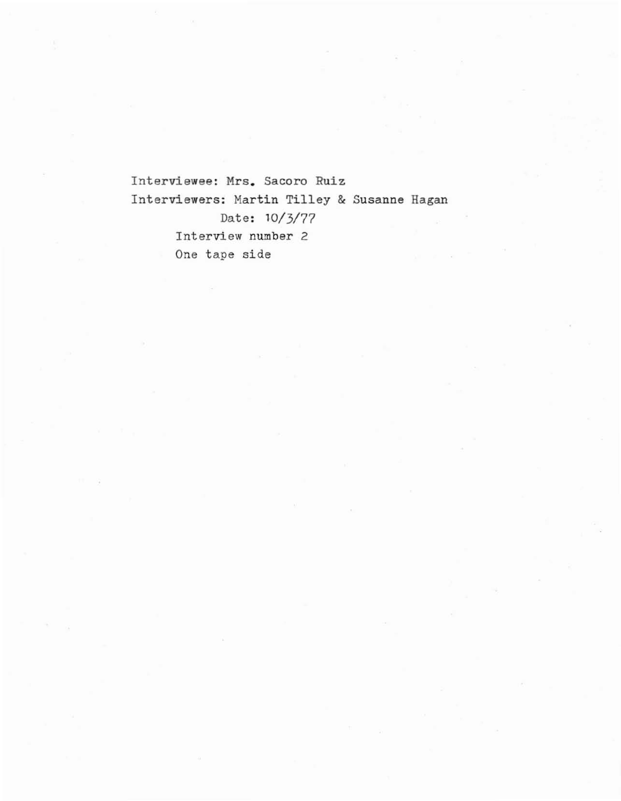Interviewee: Mrs. Sacoro Ruiz Interviewers: Martin Tilley & Susanne Hagan Date: 10/3/77 Interview number 2 One tape side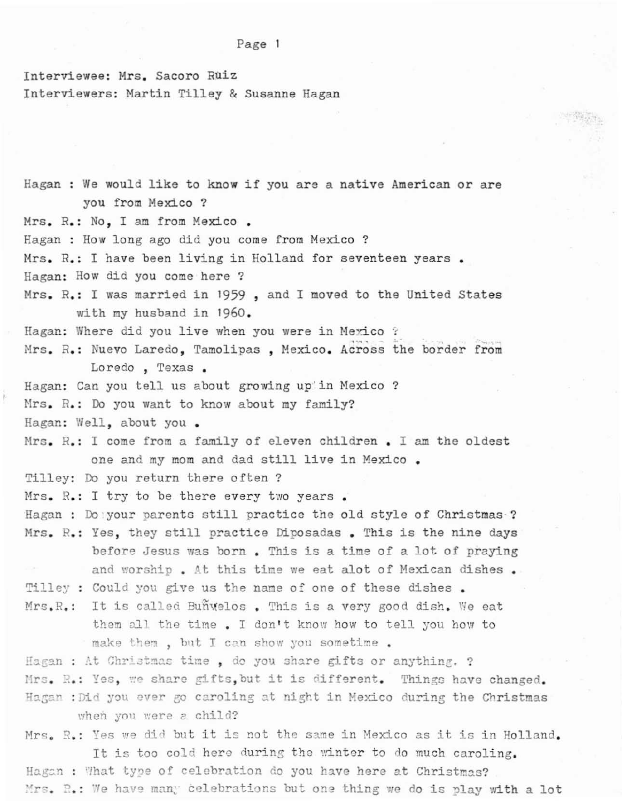## Page 1 Interviewee: Mrs. Sacoro Ruiz Interviewers: Martin Tilley & Susanne Hagan

Hagan: Can you tell us about growing up in Mexico ? Mrs. R.: Do you want to know about my family? Tilley : Could you give us the name of one of these dishes. Mrs.R.: It is called Buñwelos . This is a very good dish. We eat Hagan : We would like to know if you are <sup>a</sup> native American or are you from Mexico ? Mrs. *R.:* No, I am from Mexico. Hagan : How long ago did you come from Mexico ? Mrs. R.: I have been living in Holland for seventeen years. Hagan: How did you come here ? Mrs. R.: I was married in 1959, and I moved to the United States with my husband in 1960. Hagan: Where did you live when you were in Mexico ? Mrs. R.: Nuevo Laredo, Tamolipas, Mexico. Across the border from Loredo, Texas. Hagan: Well, about you. Mrs. R.: I come from a family of eleven children. I am the oldest one and my mom and dad still live in Mexico. Tilley: Do you return there often? Mrs. R.: I try to be there every two years. Hagan: Do your parents still practice the old style of Christmas ? Mrs. R.: Yes, they still practice Diposadas. This is the nine days before Jesus was born. This is a time of a lot of praying and worship. At this time we eat alot of Mexican dishes. them all the time. I don't know how to tell you how to make them , but I can show you sometime . Hagan : At Ghristmas time, do you share gifts or anything. ? Mrs. R.: Yes, we share gifts, but it is different. Things have changed. Hagan : Did you ever go caroling at night in Mexico during the Christmas when you were a child? Mrs. R.: Yes we did but it is not the same in Mexico as it is in Holland. It is too cold here during the winter to do much caroling.

Hagan : What type of celebration do you have here at Christmas? Mrs. R.: We have many celebrations but one thing we do is play with a lot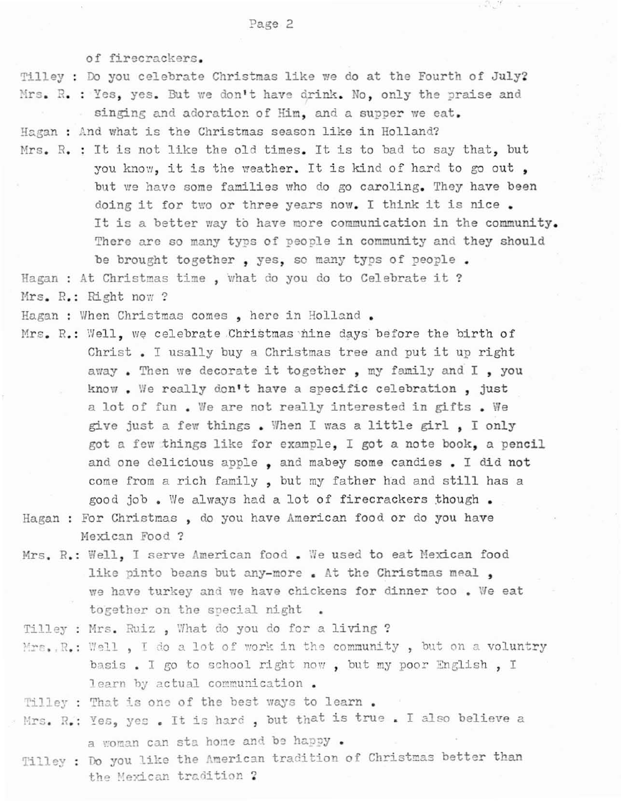of firecrackers.

Hagan : And what is the Christmas season like in Holland? Mrs. R. : It is not like the old times. It is to bad to say that, but Tilley : Do you celebrate Christmas like we do at the Fourth of July? Mrs. R. : Yes, yes. But we don't have drink. No, only the praise and singing and adoration of Him, and a supper we eat.

you know, it is the weather. It is kind of hard to go out , but we have some families who do go caroling. They have been doing it for two or three years now. I think it is nice. It is <sup>a</sup> better way to have more communication in the community. There are so many typs of people in community and they should be brought together , yes, so many typs of people .

Hagan : At Christmas time, what do you do to Celebrate it ? Mrs. R.: Right now ?

Hagan : When Christmas comes, here in Holland.

- Mrs. R.: Well, we celebrate Christmas *nine* days before the birth of Christ. I usally buy a Christmas tree and put it up right away. Then we decorate it together, my family and  $I$ , you know. We really don't have a specific celebration, just <sup>a</sup> lot of fun • We are not really interested in gifts • We give just <sup>a</sup> few things • When <sup>I</sup> was <sup>a</sup> little girl , <sup>I</sup> only got a few things like for example, <sup>I</sup> got a note book, a pencil and one delicious apple , and mabey some candies • I did not come from <sup>a</sup> rich family , but my father had and still has <sup>a</sup> good job. We always had <sup>a</sup> lot of firecrackers though.
- Hagan : For Christmas, do you have American food or do you have Mexican Food ?
- Mrs. R.: Well. I serve American food. We used to eat Mexican food like pinto beans but any-more. At the Christmas meal, we have turkey and we have chickens for dinner too • We eat together on the special night
- Tilley : Mrs. Ruiz, What do you do for a living ?
- Mrs., R.: Well, I do a lot of work in the community, but on a voluntry basis. I go to school right now, but my poor English, I learn by actual communication.

Tilley : That is one of the best ways to learn.

- Mrs. R.: Yes, yes. It is hard, but that is true. I also believe a a woman can sta home and be happy .
	- Tilley : Do you like the American tradition of Christmas better than the Mexican tradition ?